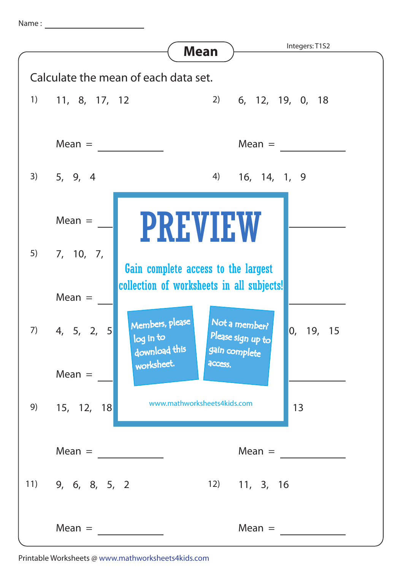Name :